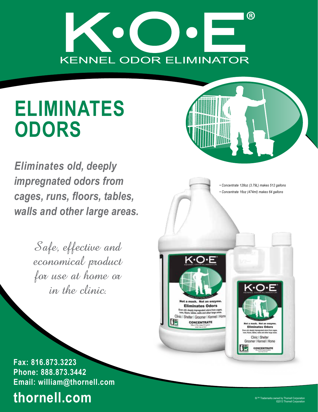

# **ELIMINATES ODORS**

 *Eliminates old, deeply impregnated odors from cages, runs, floors, tables, walls and other large areas.*

> Safe, effective and economical product for use at home or in the clinic.

*• Concentrate 128oz (3.79L) makes 512 gallons • Concentrate 16oz (474ml) makes 64 gallons* ⇔O∙E **Eliminates Odors** n old, deeply impregnated odors from cages<br>s, floors, tables, walls and other large areas Clinic | Shelter | Groomer | Kennel | Home CONCENTRATE Clinic I Shelter

**Fax: 816.873.3223 Phone: 888.873.3442 Email: william@thornell.com**

### **thornell.com**

Groomer | Kennel | Home CONCENTRATE